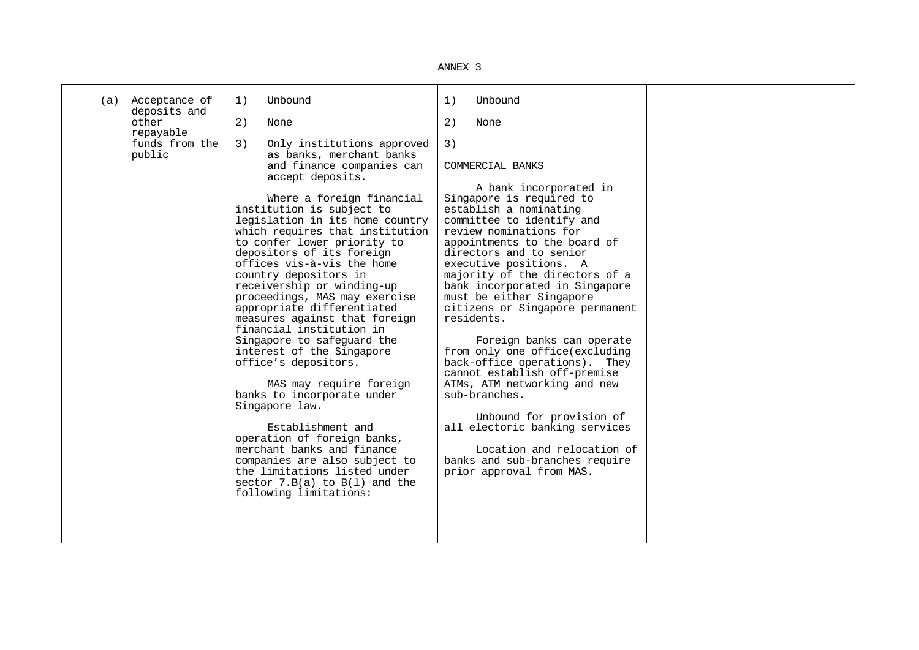| NN۱۰<br>F. |  |
|------------|--|
|------------|--|

| Acceptance of<br>(a)<br>deposits and<br>other | Unbound<br>1)                                                                                                                                                                                                                                                                                                                                                                                                                                                                                                                                                                                                                                                                                                                                                                                                                                                                                                            | Unbound<br>1)                                                                                                                                                                                                                                                                                                                                                                                                                                                                                                                                                                                                                                                                                                                                                |  |
|-----------------------------------------------|--------------------------------------------------------------------------------------------------------------------------------------------------------------------------------------------------------------------------------------------------------------------------------------------------------------------------------------------------------------------------------------------------------------------------------------------------------------------------------------------------------------------------------------------------------------------------------------------------------------------------------------------------------------------------------------------------------------------------------------------------------------------------------------------------------------------------------------------------------------------------------------------------------------------------|--------------------------------------------------------------------------------------------------------------------------------------------------------------------------------------------------------------------------------------------------------------------------------------------------------------------------------------------------------------------------------------------------------------------------------------------------------------------------------------------------------------------------------------------------------------------------------------------------------------------------------------------------------------------------------------------------------------------------------------------------------------|--|
| repayable<br>funds from the<br>public         | 2)<br>None<br>3)<br>Only institutions approved<br>as banks, merchant banks<br>and finance companies can<br>accept deposits.<br>Where a foreign financial<br>institution is subject to<br>legislation in its home country<br>which requires that institution<br>to confer lower priority to<br>depositors of its foreign<br>offices vis-à-vis the home<br>country depositors in<br>receivership or winding-up<br>proceedings, MAS may exercise<br>appropriate differentiated<br>measures against that foreign<br>financial institution in<br>Singapore to safequard the<br>interest of the Singapore<br>office's depositors.<br>MAS may require foreign<br>banks to incorporate under<br>Singapore law.<br>Establishment and<br>operation of foreign banks,<br>merchant banks and finance<br>companies are also subject to<br>the limitations listed under<br>sector $7.B(a)$ to $B(1)$ and the<br>following limitations: | 2)<br>None<br>3)<br>COMMERCIAL BANKS<br>A bank incorporated in<br>Singapore is required to<br>establish a nominating<br>committee to identify and<br>review nominations for<br>appointments to the board of<br>directors and to senior<br>executive positions. A<br>majority of the directors of a<br>bank incorporated in Singapore<br>must be either Singapore<br>citizens or Singapore permanent<br>residents.<br>Foreign banks can operate<br>from only one office(excluding<br>back-office operations). They<br>cannot establish off-premise<br>ATMs, ATM networking and new<br>sub-branches.<br>Unbound for provision of<br>all electoric banking services<br>Location and relocation of<br>banks and sub-branches require<br>prior approval from MAS. |  |
|                                               |                                                                                                                                                                                                                                                                                                                                                                                                                                                                                                                                                                                                                                                                                                                                                                                                                                                                                                                          |                                                                                                                                                                                                                                                                                                                                                                                                                                                                                                                                                                                                                                                                                                                                                              |  |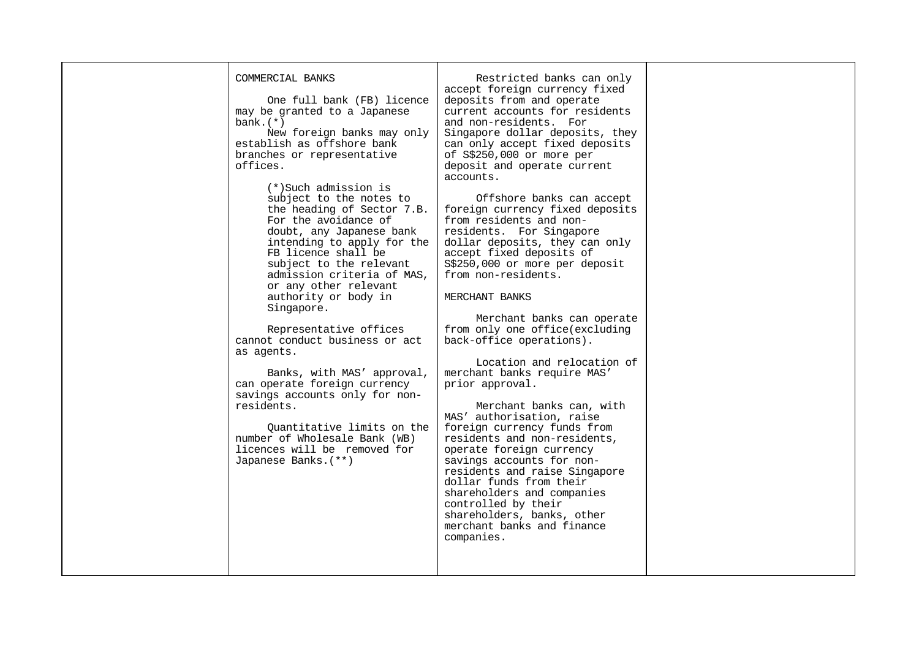## COMMERCIAL BANKS One full bank (FB) licence may be granted to a Japanese bank.(\*) New foreign banks may only establish as offshore bank branches or representative offices. (\*)Such admission is subject to the notes to the heading of Sector 7.B. For the avoidance of doubt, any Japanese bank intending to apply for the FB licence shall be subject to the relevant admission criteria of MAS,

authority or body in Singapore. Representative offices

or any other relevant

cannot conduct business or act as agents.

 Banks, with MAS' approval, can operate foreign currency savings accounts only for nonresidents.

 Quantitative limits on the number of Wholesale Bank (WB) licences will be removed for Japanese Banks.(\*\*)

 Restricted banks can only accept foreign currency fixed deposits from and operate current accounts for residents and non-residents. For Singapore dollar deposits, they can only accept fixed deposits of S\$250,000 or more per deposit and operate current accounts.

 Offshore banks can accept foreign currency fixed deposits from residents and nonresidents. For Singapore dollar deposits, they can only accept fixed deposits of S\$250,000 or more per deposit from non-residents.

MERCHANT BANKS

 Merchant banks can operate from only one office(excluding back-office operations).

 Location and relocation of merchant banks require MAS' prior approval.

 Merchant banks can, with MAS' authorisation, raise foreign currency funds from residents and non-residents, operate foreign currency savings accounts for nonresidents and raise Singapore dollar funds from their shareholders and companies controlled by their shareholders, banks, other merchant banks and finance companies.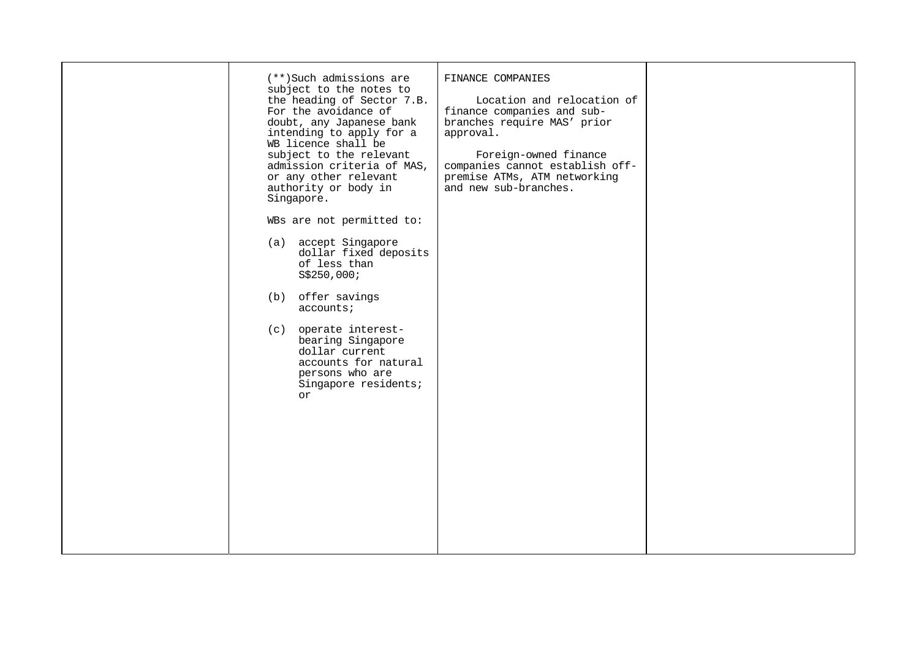| (**)Such admissions are<br>subject to the notes to<br>the heading of Sector 7.B.<br>For the avoidance of<br>doubt, any Japanese bank<br>intending to apply for a<br>WB licence shall be<br>subject to the relevant<br>admission criteria of MAS,<br>or any other relevant<br>authority or body in<br>Singapore.<br>WBs are not permitted to:<br>(a) accept Singapore<br>dollar fixed deposits<br>of less than<br>S\$250,000;<br>(b) offer savings<br>accounts<br>(c) operate interest-<br>bearing Singapore<br>dollar current<br>accounts for natural<br>persons who are<br>Singapore residents;<br>or | FINANCE COMPANIES<br>Location and relocation of<br>finance companies and sub-<br>branches require MAS' prior<br>approval.<br>Foreign-owned finance<br>companies cannot establish off-<br>premise ATMs, ATM networking<br>and new sub-branches. |  |
|--------------------------------------------------------------------------------------------------------------------------------------------------------------------------------------------------------------------------------------------------------------------------------------------------------------------------------------------------------------------------------------------------------------------------------------------------------------------------------------------------------------------------------------------------------------------------------------------------------|------------------------------------------------------------------------------------------------------------------------------------------------------------------------------------------------------------------------------------------------|--|
|                                                                                                                                                                                                                                                                                                                                                                                                                                                                                                                                                                                                        |                                                                                                                                                                                                                                                |  |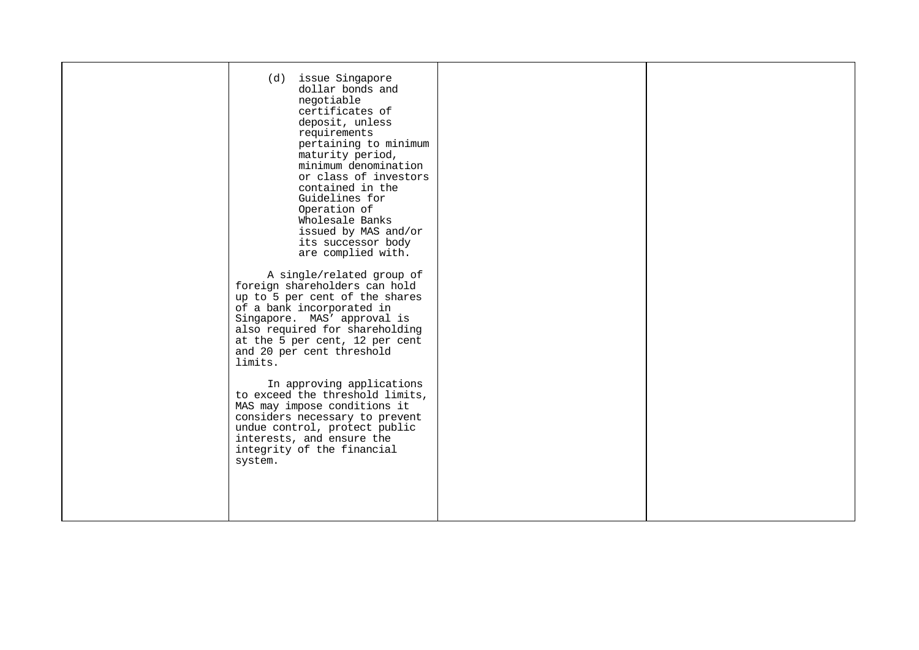|  |  | (d) issue Singapore<br>dollar bonds and<br>negotiable<br>certificates of<br>deposit, unless<br>requirements<br>pertaining to minimum<br>maturity period,<br>minimum denomination<br>or class of investors<br>contained in the<br>Guidelines for<br>Operation of<br>Wholesale Banks<br>issued by MAS and/or<br>its successor body<br>are complied with.<br>A single/related group of<br>foreign shareholders can hold<br>up to 5 per cent of the shares<br>of a bank incorporated in<br>Singapore. MAS' approval is<br>also required for shareholding<br>at the 5 per cent, 12 per cent<br>and 20 per cent threshold<br>limits.<br>In approving applications<br>to exceed the threshold limits,<br>MAS may impose conditions it<br>considers necessary to prevent<br>undue control, protect public<br>interests, and ensure the<br>integrity of the financial<br>system. |  |  |
|--|--|-------------------------------------------------------------------------------------------------------------------------------------------------------------------------------------------------------------------------------------------------------------------------------------------------------------------------------------------------------------------------------------------------------------------------------------------------------------------------------------------------------------------------------------------------------------------------------------------------------------------------------------------------------------------------------------------------------------------------------------------------------------------------------------------------------------------------------------------------------------------------|--|--|
|--|--|-------------------------------------------------------------------------------------------------------------------------------------------------------------------------------------------------------------------------------------------------------------------------------------------------------------------------------------------------------------------------------------------------------------------------------------------------------------------------------------------------------------------------------------------------------------------------------------------------------------------------------------------------------------------------------------------------------------------------------------------------------------------------------------------------------------------------------------------------------------------------|--|--|